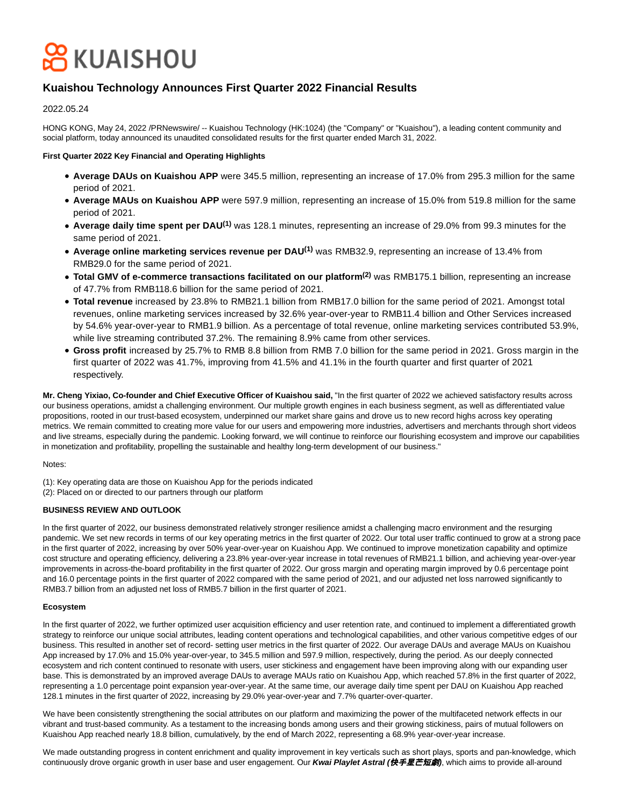# **O** KUAISHOU

# **Kuaishou Technology Announces First Quarter 2022 Financial Results**

2022.05.24

HONG KONG, May 24, 2022 /PRNewswire/ -- Kuaishou Technology (HK:1024) (the "Company" or "Kuaishou"), a leading content community and social platform, today announced its unaudited consolidated results for the first quarter ended March 31, 2022.

# **First Quarter 2022 Key Financial and Operating Highlights**

- **Average DAUs on Kuaishou APP** were 345.5 million, representing an increase of 17.0% from 295.3 million for the same period of 2021.
- **Average MAUs on Kuaishou APP** were 597.9 million, representing an increase of 15.0% from 519.8 million for the same period of 2021.
- **Average daily time spent per DAU(1)** was 128.1 minutes, representing an increase of 29.0% from 99.3 minutes for the same period of 2021.
- **Average online marketing services revenue per DAU(1)** was RMB32.9, representing an increase of 13.4% from RMB29.0 for the same period of 2021.
- **Total GMV of e-commerce transactions facilitated on our platform(2)** was RMB175.1 billion, representing an increase of 47.7% from RMB118.6 billion for the same period of 2021.
- **Total revenue** increased by 23.8% to RMB21.1 billion from RMB17.0 billion for the same period of 2021. Amongst total revenues, online marketing services increased by 32.6% year-over-year to RMB11.4 billion and Other Services increased by 54.6% year-over-year to RMB1.9 billion. As a percentage of total revenue, online marketing services contributed 53.9%, while live streaming contributed 37.2%. The remaining 8.9% came from other services.
- **Gross profit** increased by 25.7% to RMB 8.8 billion from RMB 7.0 billion for the same period in 2021. Gross margin in the first quarter of 2022 was 41.7%, improving from 41.5% and 41.1% in the fourth quarter and first quarter of 2021 respectively.

**Mr. Cheng Yixiao, Co-founder and Chief Executive Officer of Kuaishou said,** "In the first quarter of 2022 we achieved satisfactory results across our business operations, amidst a challenging environment. Our multiple growth engines in each business segment, as well as differentiated value propositions, rooted in our trust-based ecosystem, underpinned our market share gains and drove us to new record highs across key operating metrics. We remain committed to creating more value for our users and empowering more industries, advertisers and merchants through short videos and live streams, especially during the pandemic. Looking forward, we will continue to reinforce our flourishing ecosystem and improve our capabilities in monetization and profitability, propelling the sustainable and healthy long-term development of our business."

# Notes:

(1): Key operating data are those on Kuaishou App for the periods indicated

(2): Placed on or directed to our partners through our platform

# **BUSINESS REVIEW AND OUTLOOK**

In the first quarter of 2022, our business demonstrated relatively stronger resilience amidst a challenging macro environment and the resurging pandemic. We set new records in terms of our key operating metrics in the first quarter of 2022. Our total user traffic continued to grow at a strong pace in the first quarter of 2022, increasing by over 50% year-over-year on Kuaishou App. We continued to improve monetization capability and optimize cost structure and operating efficiency, delivering a 23.8% year-over-year increase in total revenues of RMB21.1 billion, and achieving year-over-year improvements in across-the-board profitability in the first quarter of 2022. Our gross margin and operating margin improved by 0.6 percentage point and 16.0 percentage points in the first quarter of 2022 compared with the same period of 2021, and our adjusted net loss narrowed significantly to RMB3.7 billion from an adjusted net loss of RMB5.7 billion in the first quarter of 2021.

# **Ecosystem**

In the first quarter of 2022, we further optimized user acquisition efficiency and user retention rate, and continued to implement a differentiated growth strategy to reinforce our unique social attributes, leading content operations and technological capabilities, and other various competitive edges of our business. This resulted in another set of record- setting user metrics in the first quarter of 2022. Our average DAUs and average MAUs on Kuaishou App increased by 17.0% and 15.0% year-over-year, to 345.5 million and 597.9 million, respectively, during the period. As our deeply connected ecosystem and rich content continued to resonate with users, user stickiness and engagement have been improving along with our expanding user base. This is demonstrated by an improved average DAUs to average MAUs ratio on Kuaishou App, which reached 57.8% in the first quarter of 2022, representing a 1.0 percentage point expansion year-over-year. At the same time, our average daily time spent per DAU on Kuaishou App reached 128.1 minutes in the first quarter of 2022, increasing by 29.0% year-over-year and 7.7% quarter-over-quarter.

We have been consistently strengthening the social attributes on our platform and maximizing the power of the multifaceted network effects in our vibrant and trust-based community. As a testament to the increasing bonds among users and their growing stickiness, pairs of mutual followers on Kuaishou App reached nearly 18.8 billion, cumulatively, by the end of March 2022, representing a 68.9% year-over-year increase.

We made outstanding progress in content enrichment and quality improvement in key verticals such as short plays, sports and pan-knowledge, which continuously drove organic growth in user base and user engagement. Our **Kwai Playlet Astral (**快手星芒短劇**)**, which aims to provide all-around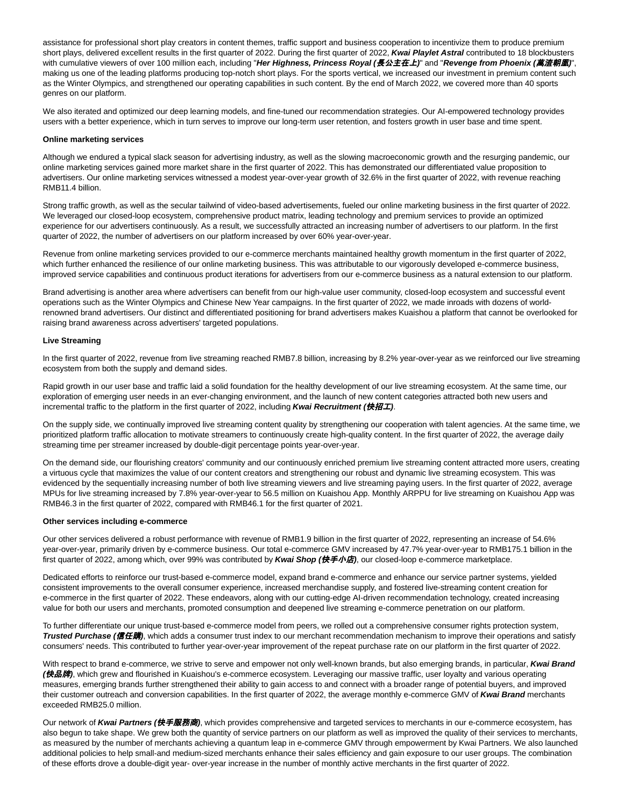assistance for professional short play creators in content themes, traffic support and business cooperation to incentivize them to produce premium short plays, delivered excellent results in the first quarter of 2022. During the first quarter of 2022, **Kwai Playlet Astral** contributed to 18 blockbusters with cumulative viewers of over 100 million each, including "**Her Highness, Princess Royal (**長公主在上**)**" and "**Revenge from Phoenix (**萬渣朝凰**)**", making us one of the leading platforms producing top-notch short plays. For the sports vertical, we increased our investment in premium content such as the Winter Olympics, and strengthened our operating capabilities in such content. By the end of March 2022, we covered more than 40 sports genres on our platform.

We also iterated and optimized our deep learning models, and fine-tuned our recommendation strategies. Our AI-empowered technology provides users with a better experience, which in turn serves to improve our long-term user retention, and fosters growth in user base and time spent.

#### **Online marketing services**

Although we endured a typical slack season for advertising industry, as well as the slowing macroeconomic growth and the resurging pandemic, our online marketing services gained more market share in the first quarter of 2022. This has demonstrated our differentiated value proposition to advertisers. Our online marketing services witnessed a modest year-over-year growth of 32.6% in the first quarter of 2022, with revenue reaching RMB11.4 billion.

Strong traffic growth, as well as the secular tailwind of video-based advertisements, fueled our online marketing business in the first quarter of 2022. We leveraged our closed-loop ecosystem, comprehensive product matrix, leading technology and premium services to provide an optimized experience for our advertisers continuously. As a result, we successfully attracted an increasing number of advertisers to our platform. In the first quarter of 2022, the number of advertisers on our platform increased by over 60% year-over-year.

Revenue from online marketing services provided to our e-commerce merchants maintained healthy growth momentum in the first quarter of 2022, which further enhanced the resilience of our online marketing business. This was attributable to our vigorously developed e-commerce business, improved service capabilities and continuous product iterations for advertisers from our e-commerce business as a natural extension to our platform.

Brand advertising is another area where advertisers can benefit from our high-value user community, closed-loop ecosystem and successful event operations such as the Winter Olympics and Chinese New Year campaigns. In the first quarter of 2022, we made inroads with dozens of worldrenowned brand advertisers. Our distinct and differentiated positioning for brand advertisers makes Kuaishou a platform that cannot be overlooked for raising brand awareness across advertisers' targeted populations.

#### **Live Streaming**

In the first quarter of 2022, revenue from live streaming reached RMB7.8 billion, increasing by 8.2% year-over-year as we reinforced our live streaming ecosystem from both the supply and demand sides.

Rapid growth in our user base and traffic laid a solid foundation for the healthy development of our live streaming ecosystem. At the same time, our exploration of emerging user needs in an ever-changing environment, and the launch of new content categories attracted both new users and incremental traffic to the platform in the first quarter of 2022, including **Kwai Recruitment (**快招工**)**.

On the supply side, we continually improved live streaming content quality by strengthening our cooperation with talent agencies. At the same time, we prioritized platform traffic allocation to motivate streamers to continuously create high-quality content. In the first quarter of 2022, the average daily streaming time per streamer increased by double-digit percentage points year-over-year.

On the demand side, our flourishing creators' community and our continuously enriched premium live streaming content attracted more users, creating a virtuous cycle that maximizes the value of our content creators and strengthening our robust and dynamic live streaming ecosystem. This was evidenced by the sequentially increasing number of both live streaming viewers and live streaming paying users. In the first quarter of 2022, average MPUs for live streaming increased by 7.8% year-over-year to 56.5 million on Kuaishou App. Monthly ARPPU for live streaming on Kuaishou App was RMB46.3 in the first quarter of 2022, compared with RMB46.1 for the first quarter of 2021.

#### **Other services including e-commerce**

Our other services delivered a robust performance with revenue of RMB1.9 billion in the first quarter of 2022, representing an increase of 54.6% year-over-year, primarily driven by e-commerce business. Our total e-commerce GMV increased by 47.7% year-over-year to RMB175.1 billion in the first quarter of 2022, among which, over 99% was contributed by **Kwai Shop (快手小店)**, our closed-loop e-commerce marketplace.

Dedicated efforts to reinforce our trust-based e-commerce model, expand brand e-commerce and enhance our service partner systems, yielded consistent improvements to the overall consumer experience, increased merchandise supply, and fostered live-streaming content creation for e-commerce in the first quarter of 2022. These endeavors, along with our cutting-edge AI-driven recommendation technology, created increasing value for both our users and merchants, promoted consumption and deepened live streaming e-commerce penetration on our platform.

To further differentiate our unique trust-based e-commerce model from peers, we rolled out a comprehensive consumer rights protection system, **Trusted Purchase (**信任購**)**, which adds a consumer trust index to our merchant recommendation mechanism to improve their operations and satisfy consumers' needs. This contributed to further year-over-year improvement of the repeat purchase rate on our platform in the first quarter of 2022.

With respect to brand e-commerce, we strive to serve and empower not only well-known brands, but also emerging brands, in particular, **Kwai Brand (**快品牌**)**, which grew and flourished in Kuaishou's e-commerce ecosystem. Leveraging our massive traffic, user loyalty and various operating measures, emerging brands further strengthened their ability to gain access to and connect with a broader range of potential buyers, and improved their customer outreach and conversion capabilities. In the first quarter of 2022, the average monthly e-commerce GMV of **Kwai Brand** merchants exceeded RMB25.0 million.

Our network of **Kwai Partners (**快手服務商**)**, which provides comprehensive and targeted services to merchants in our e-commerce ecosystem, has also begun to take shape. We grew both the quantity of service partners on our platform as well as improved the quality of their services to merchants, as measured by the number of merchants achieving a quantum leap in e-commerce GMV through empowerment by Kwai Partners. We also launched additional policies to help small-and medium-sized merchants enhance their sales efficiency and gain exposure to our user groups. The combination of these efforts drove a double-digit year- over-year increase in the number of monthly active merchants in the first quarter of 2022.